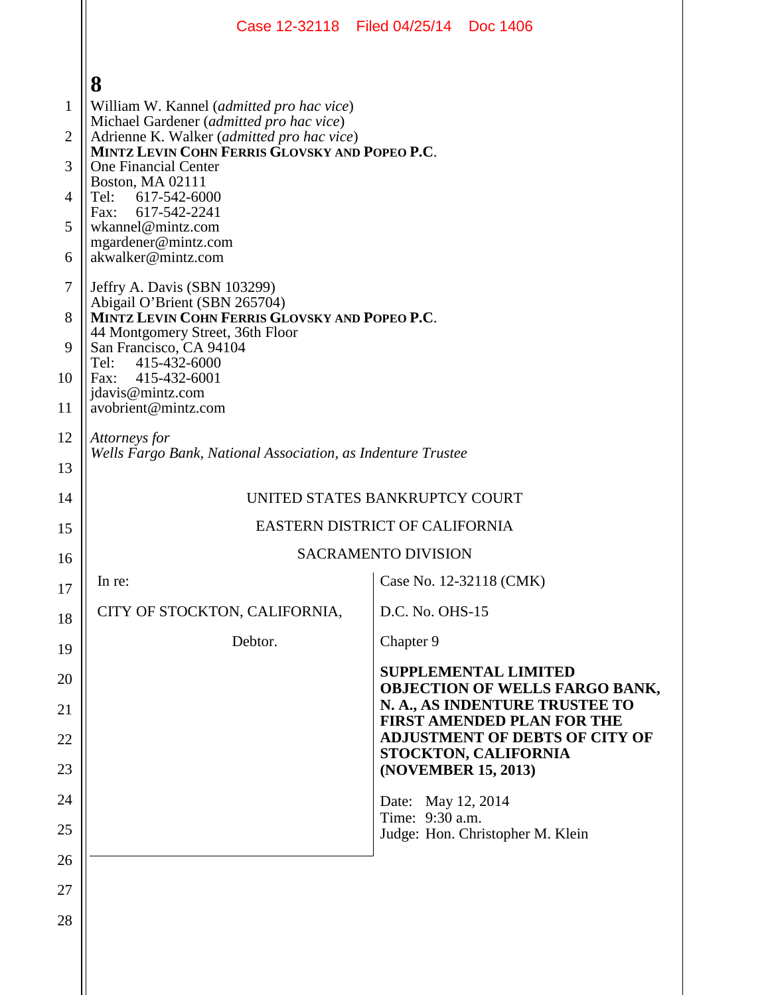|                |                                                                                                                 | Case 12-32118 Filed 04/25/14 Doc 1406                                                                  |  |  |  |  |
|----------------|-----------------------------------------------------------------------------------------------------------------|--------------------------------------------------------------------------------------------------------|--|--|--|--|
|                | 8                                                                                                               |                                                                                                        |  |  |  |  |
| 1              | William W. Kannel (admitted pro hac vice)<br>Michael Gardener (admitted pro hac vice)                           |                                                                                                        |  |  |  |  |
| $\overline{2}$ | Adrienne K. Walker (admitted pro hac vice)<br>MINTZ LEVIN COHN FERRIS GLOVSKY AND POPEO P.C.                    |                                                                                                        |  |  |  |  |
| 3              | <b>One Financial Center</b><br>Boston, MA 02111                                                                 |                                                                                                        |  |  |  |  |
| 4              | Tel:<br>617-542-6000<br>Fax: 617-542-2241                                                                       |                                                                                                        |  |  |  |  |
| 5              | wkannel@mintz.com<br>mgardener@mintz.com                                                                        |                                                                                                        |  |  |  |  |
| 6              | akwalker@mintz.com                                                                                              |                                                                                                        |  |  |  |  |
| $\tau$<br>8    | Jeffry A. Davis (SBN 103299)<br>Abigail O'Brient (SBN 265704)<br>MINTZ LEVIN COHN FERRIS GLOVSKY AND POPEO P.C. |                                                                                                        |  |  |  |  |
| 9              | 44 Montgomery Street, 36th Floor<br>San Francisco, CA 94104                                                     |                                                                                                        |  |  |  |  |
| 10             | Tel:<br>415-432-6000<br>Fax: 415-432-6001<br>jdavis@mintz.com<br>avobrient@mintz.com                            |                                                                                                        |  |  |  |  |
| 11             |                                                                                                                 |                                                                                                        |  |  |  |  |
| 12             | Attorneys for                                                                                                   |                                                                                                        |  |  |  |  |
| 13             | Wells Fargo Bank, National Association, as Indenture Trustee                                                    |                                                                                                        |  |  |  |  |
| 14             | UNITED STATES BANKRUPTCY COURT                                                                                  |                                                                                                        |  |  |  |  |
| 15             | <b>EASTERN DISTRICT OF CALIFORNIA</b>                                                                           |                                                                                                        |  |  |  |  |
| 16             |                                                                                                                 | <b>SACRAMENTO DIVISION</b>                                                                             |  |  |  |  |
| 17             | In re:                                                                                                          | Case No. 12-32118 (CMK)                                                                                |  |  |  |  |
| 18             | CITY OF STOCKTON, CALIFORNIA,                                                                                   | D.C. No. OHS-15                                                                                        |  |  |  |  |
| 19             | Debtor.                                                                                                         | Chapter 9                                                                                              |  |  |  |  |
| 20             |                                                                                                                 | <b>SUPPLEMENTAL LIMITED</b><br><b>OBJECTION OF WELLS FARGO BANK,</b><br>N. A., AS INDENTURE TRUSTEE TO |  |  |  |  |
| 21<br>22       |                                                                                                                 | <b>FIRST AMENDED PLAN FOR THE</b><br><b>ADJUSTMENT OF DEBTS OF CITY OF</b>                             |  |  |  |  |
| 23             |                                                                                                                 | STOCKTON, CALIFORNIA<br>(NOVEMBER 15, 2013)                                                            |  |  |  |  |
| 24             |                                                                                                                 | Date: May 12, 2014                                                                                     |  |  |  |  |
| 25             |                                                                                                                 | Time: 9:30 a.m.<br>Judge: Hon. Christopher M. Klein                                                    |  |  |  |  |
| 26             |                                                                                                                 |                                                                                                        |  |  |  |  |
| 27             |                                                                                                                 |                                                                                                        |  |  |  |  |
| 28             |                                                                                                                 |                                                                                                        |  |  |  |  |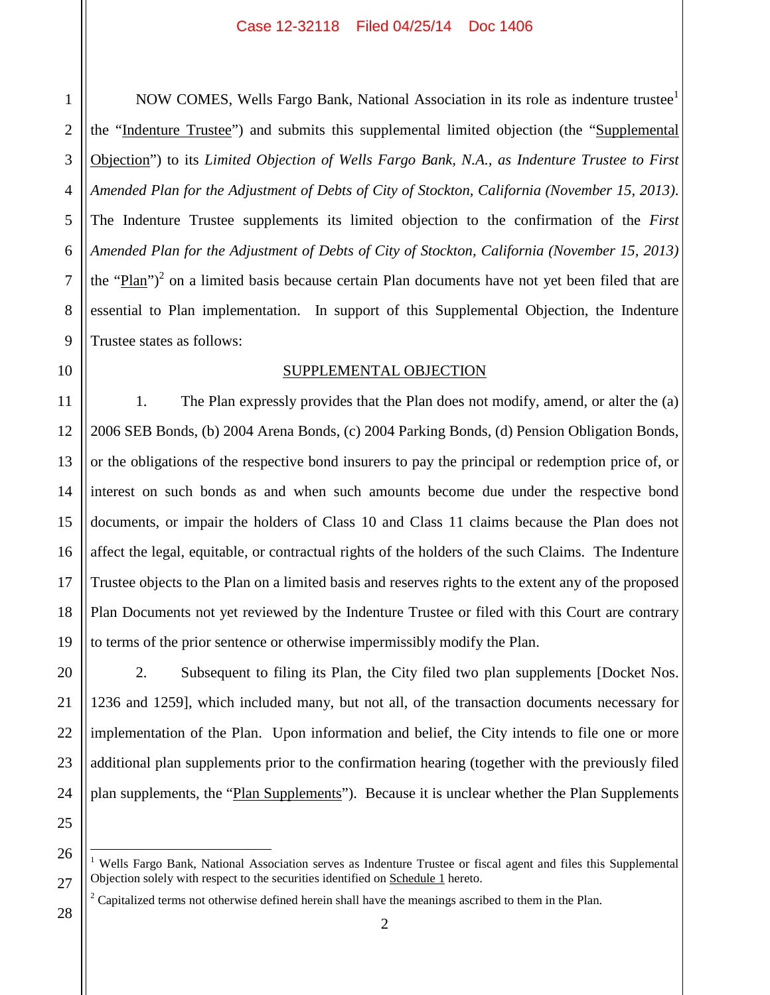1

2

3

4

5

NOW COMES, Wells Fargo Bank, National Association in its role as indenture trustee<sup>1</sup> the "Indenture Trustee") and submits this supplemental limited objection (the "Supplemental Objection") to its *Limited Objection of Wells Fargo Bank, N.A., as Indenture Trustee to First Amended Plan for the Adjustment of Debts of City of Stockton, California (November 15, 2013)*. The Indenture Trustee supplements its limited objection to the confirmation of the *First Amended Plan for the Adjustment of Debts of City of Stockton, California (November 15, 2013)* the " $\frac{p}{\tan$ ")<sup>2</sup> on a limited basis because certain Plan documents have not yet been filed that are essential to Plan implementation. In support of this Supplemental Objection, the Indenture Trustee states as follows:

### SUPPLEMENTAL OBJECTION

1. The Plan expressly provides that the Plan does not modify, amend, or alter the (a) 2006 SEB Bonds, (b) 2004 Arena Bonds, (c) 2004 Parking Bonds, (d) Pension Obligation Bonds, or the obligations of the respective bond insurers to pay the principal or redemption price of, or interest on such bonds as and when such amounts become due under the respective bond documents, or impair the holders of Class 10 and Class 11 claims because the Plan does not affect the legal, equitable, or contractual rights of the holders of the such Claims. The Indenture Trustee objects to the Plan on a limited basis and reserves rights to the extent any of the proposed Plan Documents not yet reviewed by the Indenture Trustee or filed with this Court are contrary to terms of the prior sentence or otherwise impermissibly modify the Plan.

2. Subsequent to filing its Plan, the City filed two plan supplements [Docket Nos. 1236 and 1259], which included many, but not all, of the transaction documents necessary for implementation of the Plan. Upon information and belief, the City intends to file one or more additional plan supplements prior to the confirmation hearing (together with the previously filed plan supplements, the "Plan Supplements"). Because it is unclear whether the Plan Supplements

<sup>1</sup> Wells Fargo Bank, National Association serves as Indenture Trustee or fiscal agent and files this Supplemental Objection solely with respect to the securities identified on Schedule 1 hereto.

 $\begin{array}{|c|c|c|c|c|}\n\hline\n28 & 2 \\
\hline\n\end{array}$ <sup>2</sup> Capitalized terms not otherwise defined herein shall have the meanings ascribed to them in the Plan.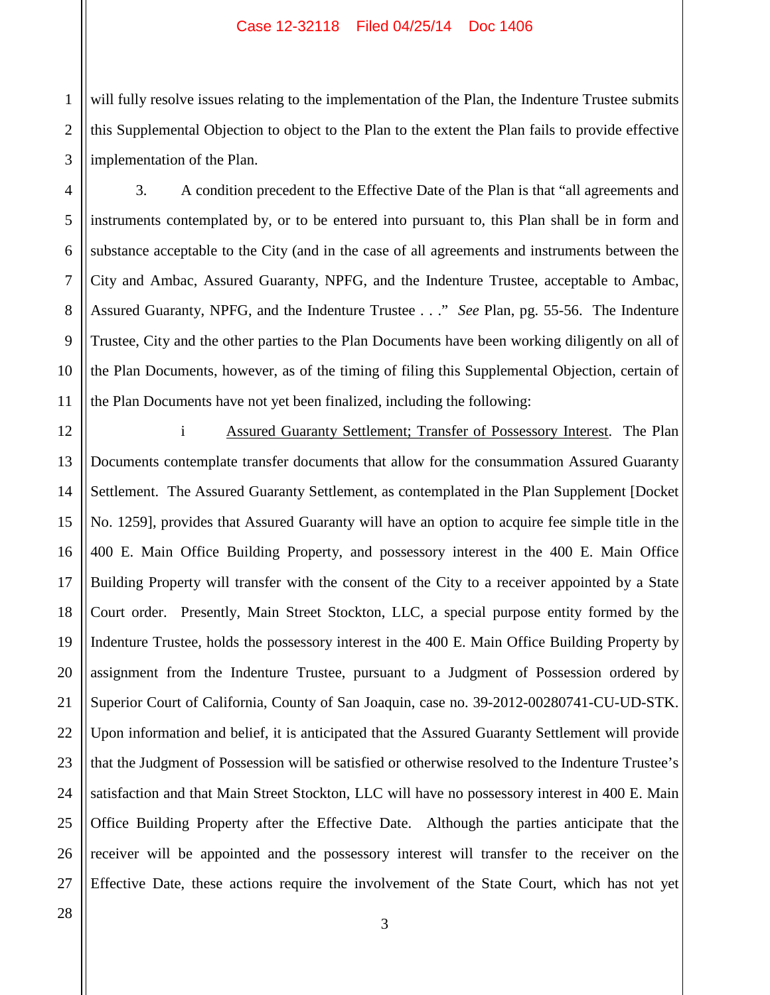1 2 will fully resolve issues relating to the implementation of the Plan, the Indenture Trustee submits this Supplemental Objection to object to the Plan to the extent the Plan fails to provide effective implementation of the Plan.

3. A condition precedent to the Effective Date of the Plan is that "all agreements and instruments contemplated by, or to be entered into pursuant to, this Plan shall be in form and substance acceptable to the City (and in the case of all agreements and instruments between the City and Ambac, Assured Guaranty, NPFG, and the Indenture Trustee, acceptable to Ambac, Assured Guaranty, NPFG, and the Indenture Trustee . . ." *See* Plan, pg. 55-56. The Indenture Trustee, City and the other parties to the Plan Documents have been working diligently on all of the Plan Documents, however, as of the timing of filing this Supplemental Objection, certain of the Plan Documents have not yet been finalized, including the following:

i Assured Guaranty Settlement; Transfer of Possessory Interest. The Plan Documents contemplate transfer documents that allow for the consummation Assured Guaranty Settlement. The Assured Guaranty Settlement, as contemplated in the Plan Supplement [Docket No. 1259], provides that Assured Guaranty will have an option to acquire fee simple title in the 400 E. Main Office Building Property, and possessory interest in the 400 E. Main Office Building Property will transfer with the consent of the City to a receiver appointed by a State Court order. Presently, Main Street Stockton, LLC, a special purpose entity formed by the Indenture Trustee, holds the possessory interest in the 400 E. Main Office Building Property by assignment from the Indenture Trustee, pursuant to a Judgment of Possession ordered by Superior Court of California, County of San Joaquin, case no. 39-2012-00280741-CU-UD-STK. Upon information and belief, it is anticipated that the Assured Guaranty Settlement will provide that the Judgment of Possession will be satisfied or otherwise resolved to the Indenture Trustee's satisfaction and that Main Street Stockton, LLC will have no possessory interest in 400 E. Main Office Building Property after the Effective Date. Although the parties anticipate that the receiver will be appointed and the possessory interest will transfer to the receiver on the Effective Date, these actions require the involvement of the State Court, which has not yet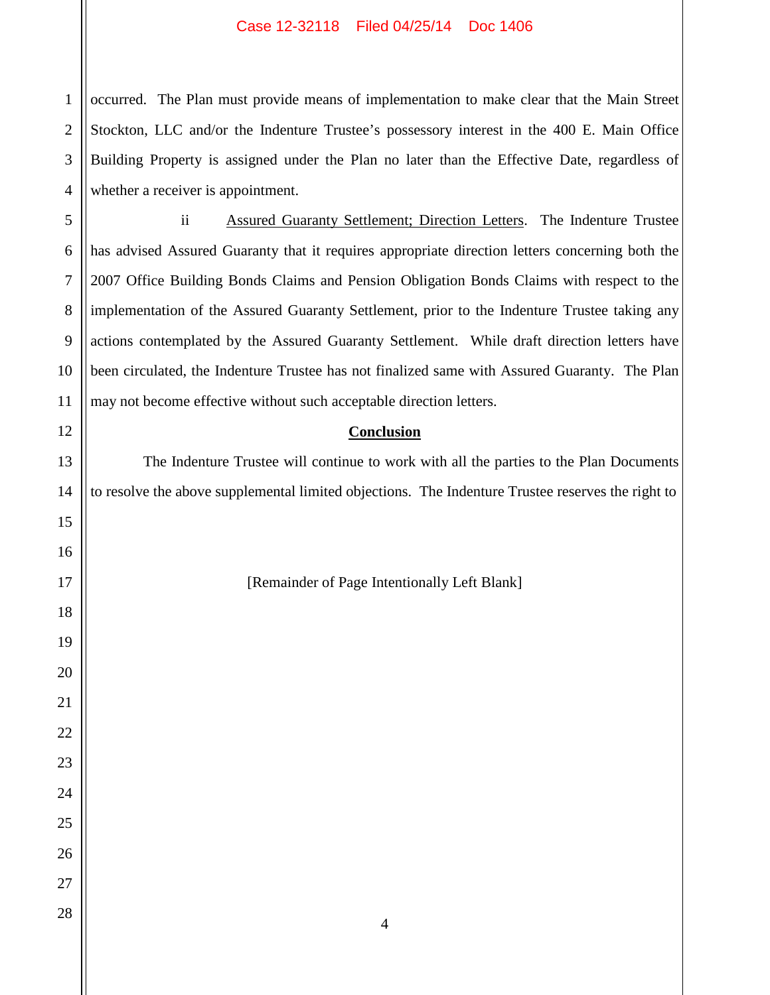occurred. The Plan must provide means of implementation to make clear that the Main Street Stockton, LLC and/or the Indenture Trustee's possessory interest in the 400 E. Main Office Building Property is assigned under the Plan no later than the Effective Date, regardless of whether a receiver is appointment.

 $\begin{array}{|c|c|c|c|c|}\n\hline\n28 & 4 \\
\hline\n\end{array}$ 

 ii Assured Guaranty Settlement; Direction Letters. The Indenture Trustee has advised Assured Guaranty that it requires appropriate direction letters concerning both the 2007 Office Building Bonds Claims and Pension Obligation Bonds Claims with respect to the implementation of the Assured Guaranty Settlement, prior to the Indenture Trustee taking any actions contemplated by the Assured Guaranty Settlement. While draft direction letters have been circulated, the Indenture Trustee has not finalized same with Assured Guaranty. The Plan may not become effective without such acceptable direction letters.

## **Conclusion**

The Indenture Trustee will continue to work with all the parties to the Plan Documents to resolve the above supplemental limited objections. The Indenture Trustee reserves the right to

[Remainder of Page Intentionally Left Blank]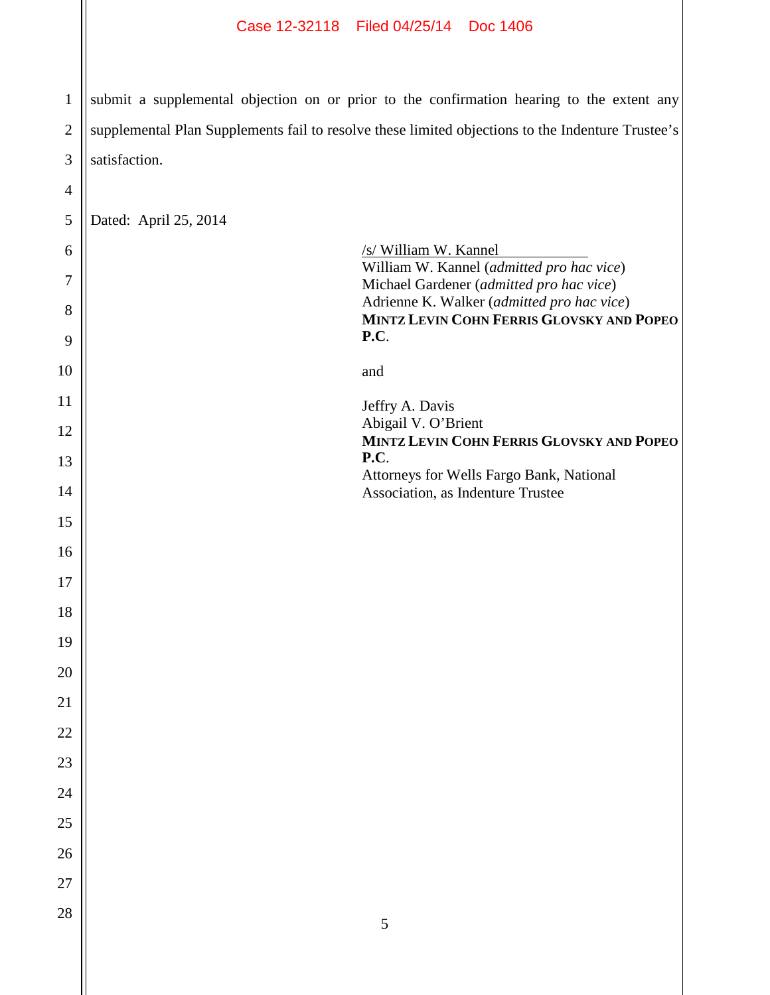1 2 3 submit a supplemental objection on or prior to the confirmation hearing to the extent any supplemental Plan Supplements fail to resolve these limited objections to the Indenture Trustee's satisfaction.

4

| $\sqrt{5}$  | Dated: April 25, 2014                                                                                          |  |
|-------------|----------------------------------------------------------------------------------------------------------------|--|
| 6<br>$\tau$ | /s/ William W. Kannel<br>William W. Kannel (admitted pro hac vice)<br>Michael Gardener (admitted pro hac vice) |  |
| 8           | Adrienne K. Walker (admitted pro hac vice)<br>MINTZ LEVIN COHN FERRIS GLOVSKY AND POPEO                        |  |
| 9           | P.C.                                                                                                           |  |
| 10          | and                                                                                                            |  |
| 11          | Jeffry A. Davis<br>Abigail V. O'Brient                                                                         |  |
| 12          | MINTZ LEVIN COHN FERRIS GLOVSKY AND POPEO<br>P.C.                                                              |  |
| 13<br>14    | Attorneys for Wells Fargo Bank, National<br>Association, as Indenture Trustee                                  |  |
| 15          |                                                                                                                |  |
| 16          |                                                                                                                |  |
| 17          |                                                                                                                |  |
| 18          |                                                                                                                |  |
| 19          |                                                                                                                |  |
| 20          |                                                                                                                |  |
| 21          |                                                                                                                |  |
| 22          |                                                                                                                |  |
| 23<br>24    |                                                                                                                |  |
| 25          |                                                                                                                |  |
| 26          |                                                                                                                |  |
| 27          |                                                                                                                |  |
| 28          | $\mathfrak s$                                                                                                  |  |
|             |                                                                                                                |  |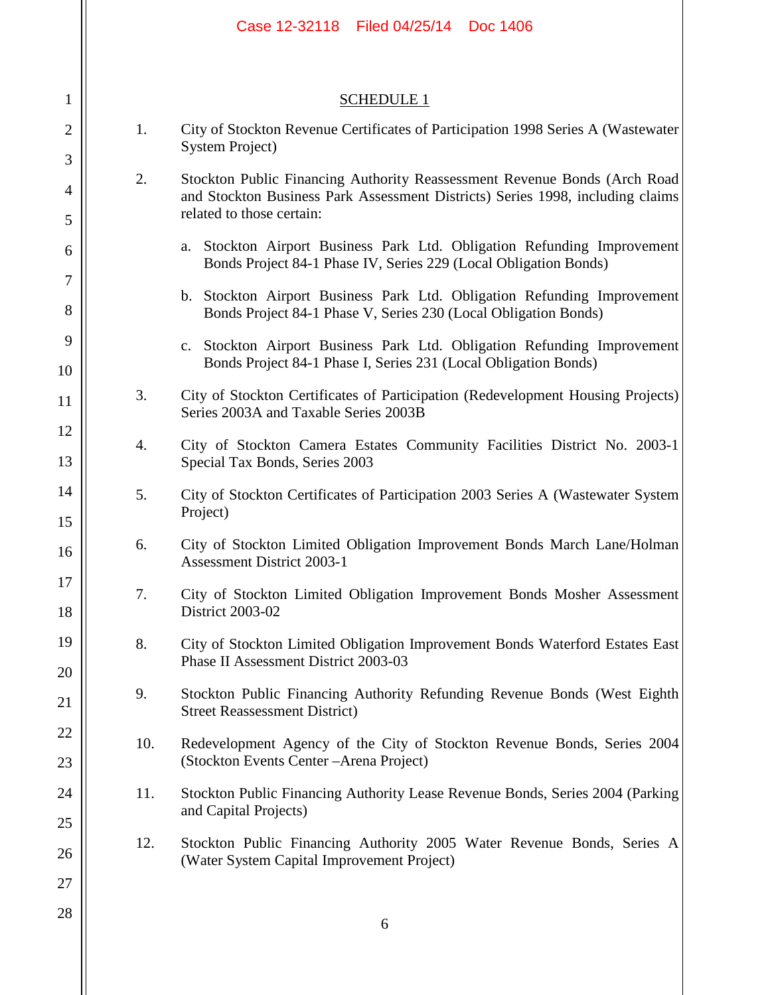|                     |     | Case 12-32118   Filed 04/25/14<br>Doc 1406                                                                                                                                               |
|---------------------|-----|------------------------------------------------------------------------------------------------------------------------------------------------------------------------------------------|
|                     |     |                                                                                                                                                                                          |
| $\mathbf{1}$        |     | <b>SCHEDULE 1</b>                                                                                                                                                                        |
| $\overline{2}$<br>3 | 1.  | City of Stockton Revenue Certificates of Participation 1998 Series A (Wastewater<br><b>System Project</b> )                                                                              |
| $\overline{4}$      | 2.  | Stockton Public Financing Authority Reassessment Revenue Bonds (Arch Road<br>and Stockton Business Park Assessment Districts) Series 1998, including claims<br>related to those certain: |
| 5<br>6              |     | a. Stockton Airport Business Park Ltd. Obligation Refunding Improvement<br>Bonds Project 84-1 Phase IV, Series 229 (Local Obligation Bonds)                                              |
| $\tau$<br>8         |     | b. Stockton Airport Business Park Ltd. Obligation Refunding Improvement                                                                                                                  |
| 9                   |     | Bonds Project 84-1 Phase V, Series 230 (Local Obligation Bonds)<br>c. Stockton Airport Business Park Ltd. Obligation Refunding Improvement                                               |
| 10                  |     | Bonds Project 84-1 Phase I, Series 231 (Local Obligation Bonds)                                                                                                                          |
| 11                  | 3.  | City of Stockton Certificates of Participation (Redevelopment Housing Projects)<br>Series 2003A and Taxable Series 2003B                                                                 |
| 12<br>13            | 4.  | City of Stockton Camera Estates Community Facilities District No. 2003-1<br>Special Tax Bonds, Series 2003                                                                               |
| 14<br>15            | 5.  | City of Stockton Certificates of Participation 2003 Series A (Wastewater System<br>Project)                                                                                              |
| 16                  | 6.  | City of Stockton Limited Obligation Improvement Bonds March Lane/Holman<br><b>Assessment District 2003-1</b>                                                                             |
| 17<br>18            | 7.  | City of Stockton Limited Obligation Improvement Bonds Mosher Assessment<br>District 2003-02                                                                                              |
| 19                  | 8.  | City of Stockton Limited Obligation Improvement Bonds Waterford Estates East<br>Phase II Assessment District 2003-03                                                                     |
| 20<br>21            | 9.  | Stockton Public Financing Authority Refunding Revenue Bonds (West Eighth<br><b>Street Reassessment District)</b>                                                                         |
| 22                  | 10. | Redevelopment Agency of the City of Stockton Revenue Bonds, Series 2004<br>(Stockton Events Center - Arena Project)                                                                      |
| 23<br>24            | 11. | Stockton Public Financing Authority Lease Revenue Bonds, Series 2004 (Parking                                                                                                            |
| 25                  |     | and Capital Projects)                                                                                                                                                                    |
| 26                  | 12. | Stockton Public Financing Authority 2005 Water Revenue Bonds, Series A<br>(Water System Capital Improvement Project)                                                                     |
| 27<br>28            |     |                                                                                                                                                                                          |
|                     |     | 6                                                                                                                                                                                        |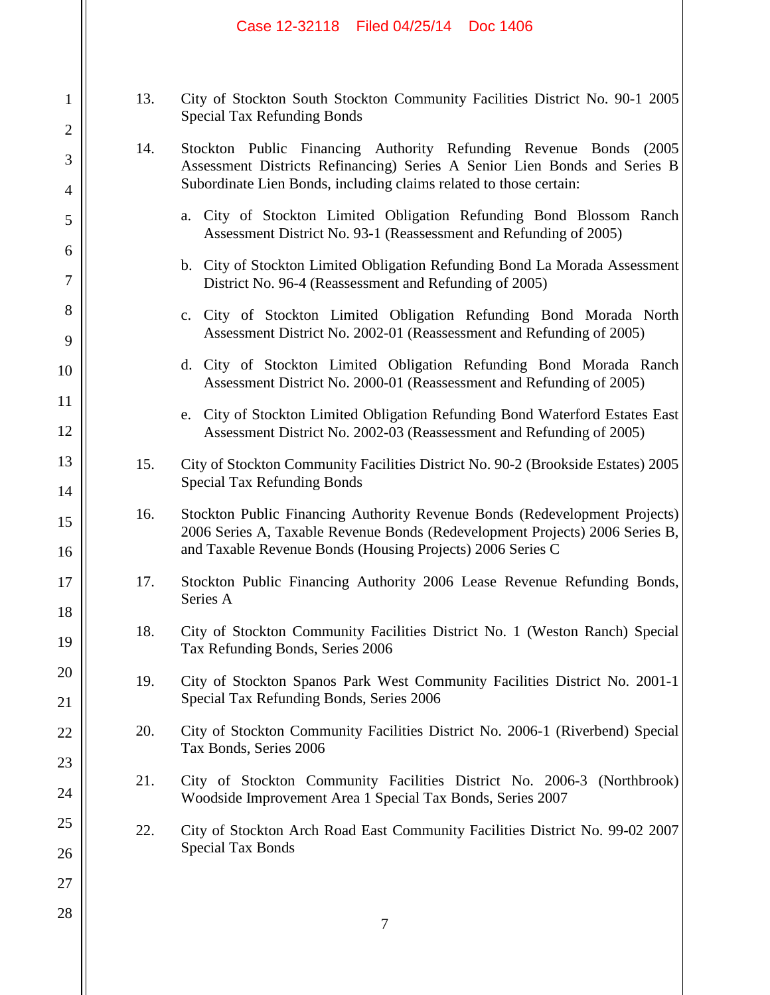|                                |     | Case 12-32118 Filed 04/25/14 Doc 1406                                                                                                                                                                                    |
|--------------------------------|-----|--------------------------------------------------------------------------------------------------------------------------------------------------------------------------------------------------------------------------|
| $\mathbf{1}$<br>$\overline{2}$ | 13. | City of Stockton South Stockton Community Facilities District No. 90-1 2005<br><b>Special Tax Refunding Bonds</b>                                                                                                        |
| 3<br>$\overline{4}$            | 14. | Stockton Public Financing Authority Refunding Revenue Bonds (2005)<br>Assessment Districts Refinancing) Series A Senior Lien Bonds and Series B<br>Subordinate Lien Bonds, including claims related to those certain:    |
| 5                              |     | City of Stockton Limited Obligation Refunding Bond Blossom Ranch<br>a.<br>Assessment District No. 93-1 (Reassessment and Refunding of 2005)                                                                              |
| 6<br>$\tau$                    |     | b. City of Stockton Limited Obligation Refunding Bond La Morada Assessment<br>District No. 96-4 (Reassessment and Refunding of 2005)                                                                                     |
| 8<br>9                         |     | c. City of Stockton Limited Obligation Refunding Bond Morada North<br>Assessment District No. 2002-01 (Reassessment and Refunding of 2005)                                                                               |
| 10                             |     | d. City of Stockton Limited Obligation Refunding Bond Morada Ranch<br>Assessment District No. 2000-01 (Reassessment and Refunding of 2005)                                                                               |
| 11<br>12                       |     | City of Stockton Limited Obligation Refunding Bond Waterford Estates East<br>e.<br>Assessment District No. 2002-03 (Reassessment and Refunding of 2005)                                                                  |
| 13<br>14                       | 15. | City of Stockton Community Facilities District No. 90-2 (Brookside Estates) 2005<br><b>Special Tax Refunding Bonds</b>                                                                                                   |
| 15<br>16                       | 16. | Stockton Public Financing Authority Revenue Bonds (Redevelopment Projects)<br>2006 Series A, Taxable Revenue Bonds (Redevelopment Projects) 2006 Series B,<br>and Taxable Revenue Bonds (Housing Projects) 2006 Series C |
| 17<br>18                       | 17. | Stockton Public Financing Authority 2006 Lease Revenue Refunding Bonds,<br>Series A                                                                                                                                      |
| 19                             | 18. | City of Stockton Community Facilities District No. 1 (Weston Ranch) Special<br>Tax Refunding Bonds, Series 2006                                                                                                          |
| 20<br>21                       | 19. | City of Stockton Spanos Park West Community Facilities District No. 2001-1<br>Special Tax Refunding Bonds, Series 2006                                                                                                   |
| 22                             | 20. | City of Stockton Community Facilities District No. 2006-1 (Riverbend) Special<br>Tax Bonds, Series 2006                                                                                                                  |
| 23<br>24                       | 21. | City of Stockton Community Facilities District No. 2006-3 (Northbrook)<br>Woodside Improvement Area 1 Special Tax Bonds, Series 2007                                                                                     |
| 25<br>26                       | 22. | City of Stockton Arch Road East Community Facilities District No. 99-02 2007<br><b>Special Tax Bonds</b>                                                                                                                 |
| 27                             |     |                                                                                                                                                                                                                          |
| 28                             |     | 7                                                                                                                                                                                                                        |

 $\mathop{||}$